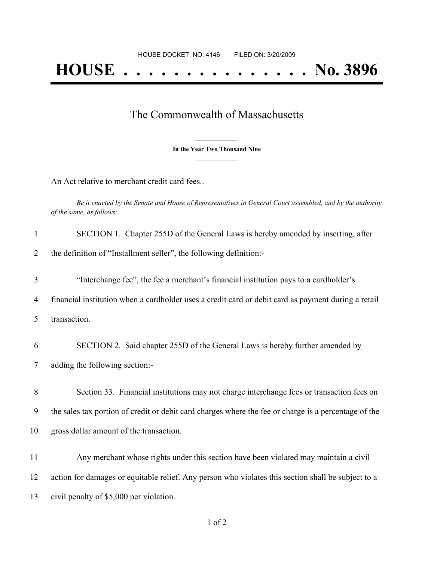## The Commonwealth of Massachusetts

**\_\_\_\_\_\_\_\_\_\_\_\_\_\_\_ In the Year Two Thousand Nine \_\_\_\_\_\_\_\_\_\_\_\_\_\_\_**

An Act relative to merchant credit card fees..

Be it enacted by the Senate and House of Representatives in General Court assembled, and by the authority *of the same, as follows:*

| $\mathbf{1}$   | SECTION 1. Chapter 255D of the General Laws is hereby amended by inserting, after                    |
|----------------|------------------------------------------------------------------------------------------------------|
| 2              | the definition of "Installment seller", the following definition:-                                   |
| 3              | "Interchange fee", the fee a merchant's financial institution pays to a cardholder's                 |
| $\overline{4}$ | financial institution when a cardholder uses a credit card or debit card as payment during a retail  |
| 5              | transaction.                                                                                         |
| 6              | SECTION 2. Said chapter 255D of the General Laws is hereby further amended by                        |
| 7              | adding the following section:-                                                                       |
| 8              | Section 33. Financial institutions may not charge interchange fees or transaction fees on            |
| 9              | the sales tax portion of credit or debit card charges where the fee or charge is a percentage of the |
| 10             | gross dollar amount of the transaction.                                                              |
| 11             | Any merchant whose rights under this section have been violated may maintain a civil                 |
| 12             | action for damages or equitable relief. Any person who violates this section shall be subject to a   |
| 13             | civil penalty of \$5,000 per violation.                                                              |